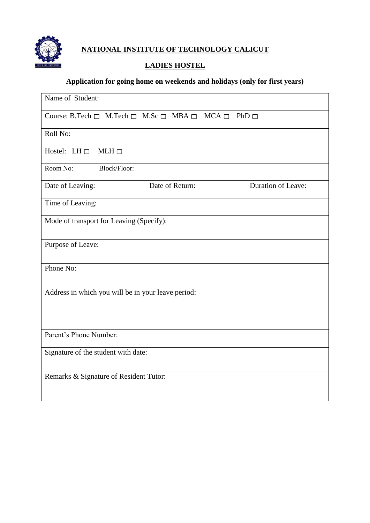

## **LADIES HOSTEL**

# **Application for going home on weekends and holidays (only for first years)**

| Name of Student:                                                                    |  |  |  |
|-------------------------------------------------------------------------------------|--|--|--|
| Course: B.Tech $\Box$ M.Tech $\Box$ M.Sc $\Box$ MBA $\Box$ MCA $\Box$<br>$PhD \Box$ |  |  |  |
| Roll No:                                                                            |  |  |  |
| Hostel: LH $\Box$<br>$MLH \Box$                                                     |  |  |  |
| Room No:<br>Block/Floor:                                                            |  |  |  |
| <b>Duration of Leave:</b><br>Date of Return:<br>Date of Leaving:                    |  |  |  |
| Time of Leaving:                                                                    |  |  |  |
| Mode of transport for Leaving (Specify):                                            |  |  |  |
| Purpose of Leave:                                                                   |  |  |  |
| Phone No:                                                                           |  |  |  |
| Address in which you will be in your leave period:                                  |  |  |  |
| Parent's Phone Number:                                                              |  |  |  |
| Signature of the student with date:                                                 |  |  |  |
| Remarks & Signature of Resident Tutor:                                              |  |  |  |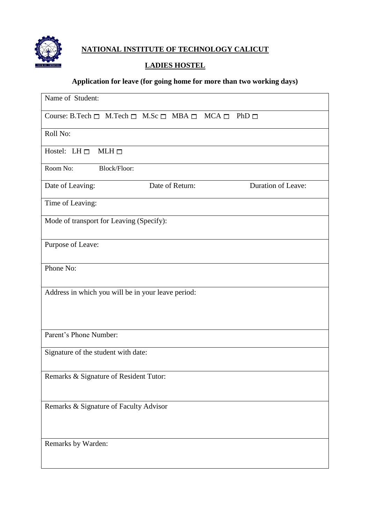

## **LADIES HOSTEL**

# **Application for leave (for going home for more than two working days)**

| Name of Student:                                                                 |                    |  |  |  |
|----------------------------------------------------------------------------------|--------------------|--|--|--|
| Course: B.Tech $\Box$ M.Tech $\Box$ M.Sc $\Box$ MBA $\Box$ MCA $\Box$ PhD $\Box$ |                    |  |  |  |
| Roll No:                                                                         |                    |  |  |  |
| Hostel: LH $\Box$<br>$MLH \Box$                                                  |                    |  |  |  |
| Room No:<br><b>Block/Floor:</b>                                                  |                    |  |  |  |
| Date of Return:<br>Date of Leaving:                                              | Duration of Leave: |  |  |  |
| Time of Leaving:                                                                 |                    |  |  |  |
| Mode of transport for Leaving (Specify):                                         |                    |  |  |  |
| Purpose of Leave:                                                                |                    |  |  |  |
| Phone No:                                                                        |                    |  |  |  |
| Address in which you will be in your leave period:                               |                    |  |  |  |
|                                                                                  |                    |  |  |  |
| Parent's Phone Number:                                                           |                    |  |  |  |
| Signature of the student with date:                                              |                    |  |  |  |
| Remarks & Signature of Resident Tutor:                                           |                    |  |  |  |
|                                                                                  |                    |  |  |  |
| Remarks & Signature of Faculty Advisor                                           |                    |  |  |  |
|                                                                                  |                    |  |  |  |
| Remarks by Warden:                                                               |                    |  |  |  |
|                                                                                  |                    |  |  |  |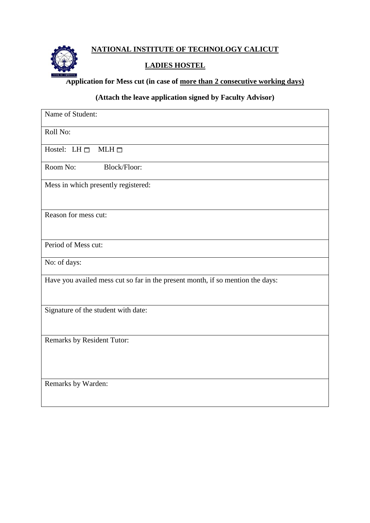

## **LADIES HOSTEL**

**Application for Mess cut (in case of more than 2 consecutive working days)**

#### **(Attach the leave application signed by Faculty Advisor)**

| Name of Student:                                                               |
|--------------------------------------------------------------------------------|
| Roll No:                                                                       |
| Hostel: LH $\Box$<br>$MLH \Box$                                                |
| Room No:<br><b>Block/Floor:</b>                                                |
| Mess in which presently registered:                                            |
| Reason for mess cut:                                                           |
| Period of Mess cut:                                                            |
| No: of days:                                                                   |
| Have you availed mess cut so far in the present month, if so mention the days: |
| Signature of the student with date:                                            |
| Remarks by Resident Tutor:                                                     |
| Remarks by Warden:                                                             |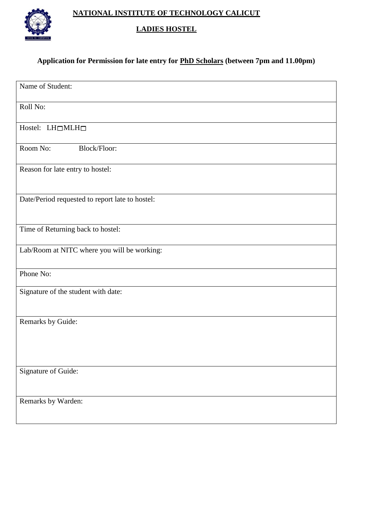

#### **LADIES HOSTEL**

# **Application for Permission for late entry for PhD Scholars (between 7pm and 11.00pm)**

| Name of Student:                                |
|-------------------------------------------------|
| Roll No:                                        |
| Hostel: $LH \square MLH \square$                |
| Room No:<br>Block/Floor:                        |
| Reason for late entry to hostel:                |
| Date/Period requested to report late to hostel: |
| Time of Returning back to hostel:               |
| Lab/Room at NITC where you will be working:     |
| Phone No:                                       |
| Signature of the student with date:             |
| Remarks by Guide:                               |
| Signature of Guide:                             |
| Remarks by Warden:                              |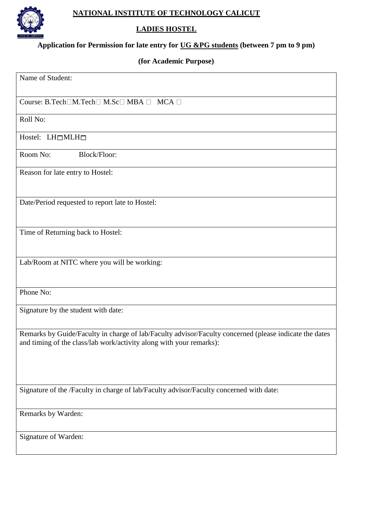

## **LADIES HOSTEL**

#### **Application for Permission for late entry for UG &PG students (between 7 pm to 9 pm)**

# **(for Academic Purpose)**

| Name of Student:                                                                                                                                                              |
|-------------------------------------------------------------------------------------------------------------------------------------------------------------------------------|
| Course: B.Tech□M.Tech□ M.Sc□ MBA □ MCA □                                                                                                                                      |
| Roll No:                                                                                                                                                                      |
| Hostel: LH <sup>I</sup> MLH <sub>I</sub>                                                                                                                                      |
| Room No:<br>Block/Floor:                                                                                                                                                      |
| Reason for late entry to Hostel:                                                                                                                                              |
| Date/Period requested to report late to Hostel:                                                                                                                               |
| Time of Returning back to Hostel:                                                                                                                                             |
| Lab/Room at NITC where you will be working:                                                                                                                                   |
| Phone No:                                                                                                                                                                     |
| Signature by the student with date:                                                                                                                                           |
| Remarks by Guide/Faculty in charge of lab/Faculty advisor/Faculty concerned (please indicate the dates<br>and timing of the class/lab work/activity along with your remarks): |
| Signature of the /Faculty in charge of lab/Faculty advisor/Faculty concerned with date:                                                                                       |
| Remarks by Warden:                                                                                                                                                            |
| Signature of Warden:                                                                                                                                                          |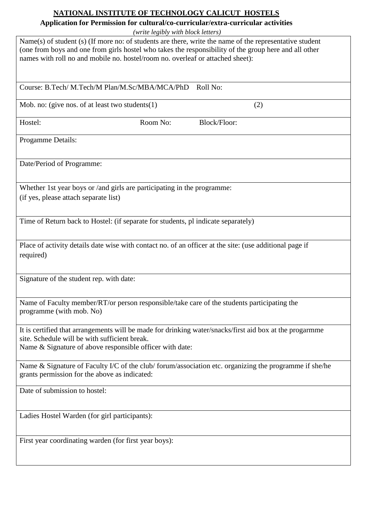# **Application for Permission for cultural/co-curricular/extra-curricular activities**

*(write legibly with block letters)*

|                                                                                                                                                                                                                                                                                                      | (Write legibly with block letters) |                     |  |  |  |
|------------------------------------------------------------------------------------------------------------------------------------------------------------------------------------------------------------------------------------------------------------------------------------------------------|------------------------------------|---------------------|--|--|--|
| $Name(s)$ of student (s) (If more no: of students are there, write the name of the representative student<br>(one from boys and one from girls hostel who takes the responsibility of the group here and all other<br>names with roll no and mobile no. hostel/room no. overleaf or attached sheet): |                                    |                     |  |  |  |
| Course: B.Tech/M.Tech/M Plan/M.Sc/MBA/MCA/PhD                                                                                                                                                                                                                                                        |                                    | Roll No:            |  |  |  |
| Mob. no: (give nos. of at least two students $(1)$ )                                                                                                                                                                                                                                                 |                                    | (2)                 |  |  |  |
| Hostel:                                                                                                                                                                                                                                                                                              | Room No:                           | <b>Block/Floor:</b> |  |  |  |
| Progamme Details:                                                                                                                                                                                                                                                                                    |                                    |                     |  |  |  |
| Date/Period of Programme:                                                                                                                                                                                                                                                                            |                                    |                     |  |  |  |
| Whether 1st year boys or /and girls are participating in the programme:                                                                                                                                                                                                                              |                                    |                     |  |  |  |
| (if yes, please attach separate list)                                                                                                                                                                                                                                                                |                                    |                     |  |  |  |
|                                                                                                                                                                                                                                                                                                      |                                    |                     |  |  |  |
| Time of Return back to Hostel: (if separate for students, pl indicate separately)                                                                                                                                                                                                                    |                                    |                     |  |  |  |
| Place of activity details date wise with contact no. of an officer at the site: (use additional page if                                                                                                                                                                                              |                                    |                     |  |  |  |
| required)                                                                                                                                                                                                                                                                                            |                                    |                     |  |  |  |
| Signature of the student rep. with date:                                                                                                                                                                                                                                                             |                                    |                     |  |  |  |
| Name of Faculty member/RT/or person responsible/take care of the students participating the<br>programme (with mob. No)                                                                                                                                                                              |                                    |                     |  |  |  |
| It is certified that arrangements will be made for drinking water/snacks/first aid box at the progarmme<br>site. Schedule will be with sufficient break.                                                                                                                                             |                                    |                     |  |  |  |
| Name & Signature of above responsible officer with date:                                                                                                                                                                                                                                             |                                    |                     |  |  |  |
| Name & Signature of Faculty I/C of the club/forum/association etc. organizing the programme if she/he<br>grants permission for the above as indicated:                                                                                                                                               |                                    |                     |  |  |  |
| Date of submission to hostel:                                                                                                                                                                                                                                                                        |                                    |                     |  |  |  |
| Ladies Hostel Warden (for girl participants):                                                                                                                                                                                                                                                        |                                    |                     |  |  |  |
| First year coordinating warden (for first year boys):                                                                                                                                                                                                                                                |                                    |                     |  |  |  |